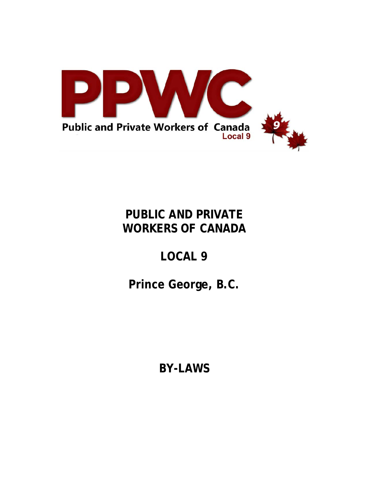

# **PUBLIC AND PRIVATE WORKERS OF CANADA**

# **LOCAL 9**

# **Prince George, B.C.**

**BY-LAWS**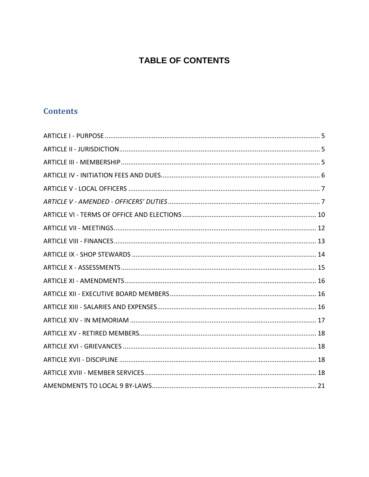# **TABLE OF CONTENTS**

# **Contents**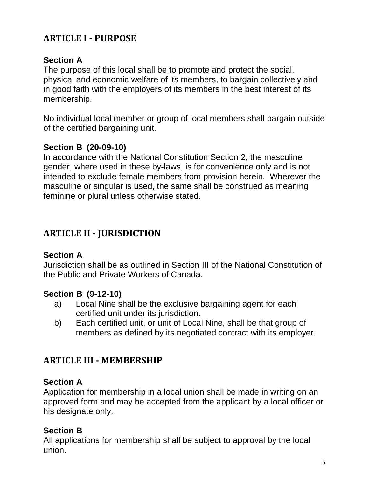# <span id="page-4-0"></span>**ARTICLE I - PURPOSE**

# **Section A**

The purpose of this local shall be to promote and protect the social, physical and economic welfare of its members, to bargain collectively and in good faith with the employers of its members in the best interest of its membership.

No individual local member or group of local members shall bargain outside of the certified bargaining unit.

#### **Section B (20-09-10)**

In accordance with the National Constitution Section 2, the masculine gender, where used in these by-laws, is for convenience only and is not intended to exclude female members from provision herein. Wherever the masculine or singular is used, the same shall be construed as meaning feminine or plural unless otherwise stated.

# <span id="page-4-1"></span>**ARTICLE II - JURISDICTION**

#### **Section A**

Jurisdiction shall be as outlined in Section III of the National Constitution of the Public and Private Workers of Canada.

#### **Section B (9-12-10)**

- a) Local Nine shall be the exclusive bargaining agent for each certified unit under its jurisdiction.
- b) Each certified unit, or unit of Local Nine, shall be that group of members as defined by its negotiated contract with its employer.

# <span id="page-4-2"></span>**ARTICLE III - MEMBERSHIP**

#### **Section A**

Application for membership in a local union shall be made in writing on an approved form and may be accepted from the applicant by a local officer or his designate only.

#### **Section B**

All applications for membership shall be subject to approval by the local union.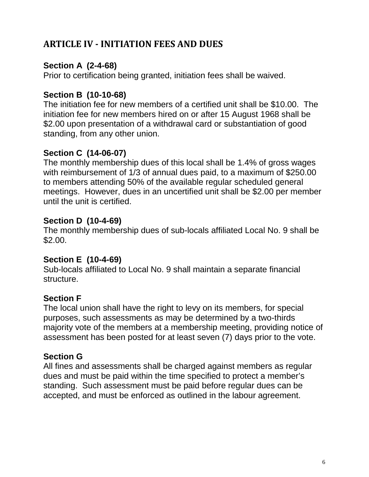# <span id="page-5-0"></span>**ARTICLE IV - INITIATION FEES AND DUES**

# **Section A (2-4-68)**

Prior to certification being granted, initiation fees shall be waived.

# **Section B (10-10-68)**

The initiation fee for new members of a certified unit shall be \$10.00. The initiation fee for new members hired on or after 15 August 1968 shall be \$2.00 upon presentation of a withdrawal card or substantiation of good standing, from any other union.

# **Section C (14-06-07)**

The monthly membership dues of this local shall be 1.4% of gross wages with reimbursement of 1/3 of annual dues paid, to a maximum of \$250.00 to members attending 50% of the available regular scheduled general meetings. However, dues in an uncertified unit shall be \$2.00 per member until the unit is certified.

#### **Section D (10-4-69)**

The monthly membership dues of sub-locals affiliated Local No. 9 shall be \$2.00.

#### **Section E (10-4-69)**

Sub-locals affiliated to Local No. 9 shall maintain a separate financial structure.

# **Section F**

The local union shall have the right to levy on its members, for special purposes, such assessments as may be determined by a two-thirds majority vote of the members at a membership meeting, providing notice of assessment has been posted for at least seven (7) days prior to the vote.

# **Section G**

All fines and assessments shall be charged against members as regular dues and must be paid within the time specified to protect a member's standing. Such assessment must be paid before regular dues can be accepted, and must be enforced as outlined in the labour agreement.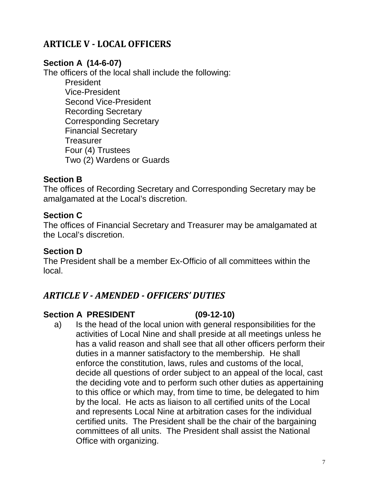# <span id="page-6-0"></span>**ARTICLE V - LOCAL OFFICERS**

#### **Section A (14-6-07)**

The officers of the local shall include the following:

President Vice-President Second Vice-President Recording Secretary Corresponding Secretary Financial Secretary **Treasurer** Four (4) Trustees Two (2) Wardens or Guards

#### **Section B**

The offices of Recording Secretary and Corresponding Secretary may be amalgamated at the Local's discretion.

#### **Section C**

The offices of Financial Secretary and Treasurer may be amalgamated at the Local's discretion.

#### **Section D**

The President shall be a member Ex-Officio of all committees within the local.

# <span id="page-6-1"></span>*ARTICLE V - AMENDED - OFFICERS' DUTIES*

#### **Section A PRESIDENT (09-12-10)**

a) Is the head of the local union with general responsibilities for the activities of Local Nine and shall preside at all meetings unless he has a valid reason and shall see that all other officers perform their duties in a manner satisfactory to the membership. He shall enforce the constitution, laws, rules and customs of the local, decide all questions of order subject to an appeal of the local, cast the deciding vote and to perform such other duties as appertaining to this office or which may, from time to time, be delegated to him by the local. He acts as liaison to all certified units of the Local and represents Local Nine at arbitration cases for the individual certified units. The President shall be the chair of the bargaining committees of all units. The President shall assist the National Office with organizing.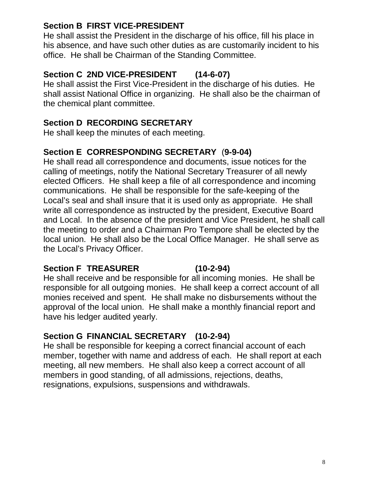#### **Section B FIRST VICE-PRESIDENT**

He shall assist the President in the discharge of his office, fill his place in his absence, and have such other duties as are customarily incident to his office. He shall be Chairman of the Standing Committee.

# **Section C 2ND VICE-PRESIDENT (14-6-07)**

He shall assist the First Vice-President in the discharge of his duties. He shall assist National Office in organizing. He shall also be the chairman of the chemical plant committee.

#### **Section D RECORDING SECRETARY**

He shall keep the minutes of each meeting.

#### **Section E CORRESPONDING SECRETARY** (**9-9-04)**

He shall read all correspondence and documents, issue notices for the calling of meetings, notify the National Secretary Treasurer of all newly elected Officers. He shall keep a file of all correspondence and incoming communications. He shall be responsible for the safe-keeping of the Local's seal and shall insure that it is used only as appropriate. He shall write all correspondence as instructed by the president, Executive Board and Local. In the absence of the president and Vice President, he shall call the meeting to order and a Chairman Pro Tempore shall be elected by the local union. He shall also be the Local Office Manager. He shall serve as the Local's Privacy Officer.

#### **Section F TREASURER (10-2-94)**

He shall receive and be responsible for all incoming monies. He shall be responsible for all outgoing monies. He shall keep a correct account of all monies received and spent. He shall make no disbursements without the approval of the local union. He shall make a monthly financial report and have his ledger audited yearly.

# **Section G FINANCIAL SECRETARY (10-2-94)**

He shall be responsible for keeping a correct financial account of each member, together with name and address of each. He shall report at each meeting, all new members. He shall also keep a correct account of all members in good standing, of all admissions, rejections, deaths, resignations, expulsions, suspensions and withdrawals.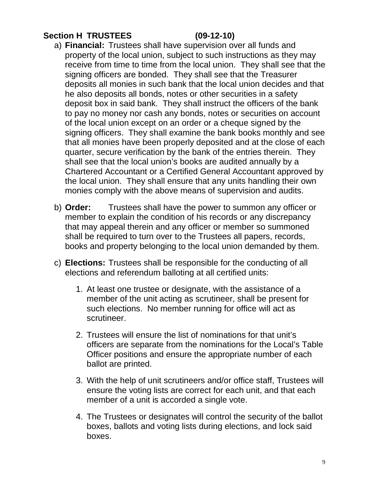# **Section H TRUSTEES (09-12-10)**

- a) **Financial:** Trustees shall have supervision over all funds and property of the local union, subject to such instructions as they may receive from time to time from the local union. They shall see that the signing officers are bonded. They shall see that the Treasurer deposits all monies in such bank that the local union decides and that he also deposits all bonds, notes or other securities in a safety deposit box in said bank. They shall instruct the officers of the bank to pay no money nor cash any bonds, notes or securities on account of the local union except on an order or a cheque signed by the signing officers. They shall examine the bank books monthly and see that all monies have been properly deposited and at the close of each quarter, secure verification by the bank of the entries therein. They shall see that the local union's books are audited annually by a Chartered Accountant or a Certified General Accountant approved by the local union. They shall ensure that any units handling their own monies comply with the above means of supervision and audits.
- b) **Order:** Trustees shall have the power to summon any officer or member to explain the condition of his records or any discrepancy that may appeal therein and any officer or member so summoned shall be required to turn over to the Trustees all papers, records, books and property belonging to the local union demanded by them.
- c) **Elections:** Trustees shall be responsible for the conducting of all elections and referendum balloting at all certified units:
	- 1. At least one trustee or designate, with the assistance of a member of the unit acting as scrutineer, shall be present for such elections. No member running for office will act as scrutineer.
	- 2. Trustees will ensure the list of nominations for that unit's officers are separate from the nominations for the Local's Table Officer positions and ensure the appropriate number of each ballot are printed.
	- 3. With the help of unit scrutineers and/or office staff, Trustees will ensure the voting lists are correct for each unit, and that each member of a unit is accorded a single vote.
	- 4. The Trustees or designates will control the security of the ballot boxes, ballots and voting lists during elections, and lock said boxes.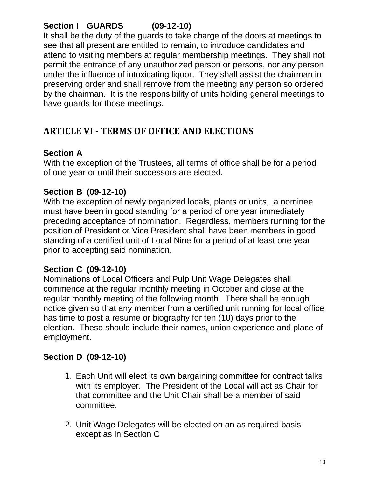# **Section I GUARDS (09-12-10)**

It shall be the duty of the guards to take charge of the doors at meetings to see that all present are entitled to remain, to introduce candidates and attend to visiting members at regular membership meetings. They shall not permit the entrance of any unauthorized person or persons, nor any person under the influence of intoxicating liquor. They shall assist the chairman in preserving order and shall remove from the meeting any person so ordered by the chairman. It is the responsibility of units holding general meetings to have guards for those meetings.

# <span id="page-9-0"></span>**ARTICLE VI - TERMS OF OFFICE AND ELECTIONS**

#### **Section A**

With the exception of the Trustees, all terms of office shall be for a period of one year or until their successors are elected.

# **Section B (09-12-10)**

With the exception of newly organized locals, plants or units, a nominee must have been in good standing for a period of one year immediately preceding acceptance of nomination. Regardless, members running for the position of President or Vice President shall have been members in good standing of a certified unit of Local Nine for a period of at least one year prior to accepting said nomination.

# **Section C (09-12-10)**

Nominations of Local Officers and Pulp Unit Wage Delegates shall commence at the regular monthly meeting in October and close at the regular monthly meeting of the following month. There shall be enough notice given so that any member from a certified unit running for local office has time to post a resume or biography for ten (10) days prior to the election. These should include their names, union experience and place of employment.

# **Section D (09-12-10)**

- 1. Each Unit will elect its own bargaining committee for contract talks with its employer. The President of the Local will act as Chair for that committee and the Unit Chair shall be a member of said committee.
- 2. Unit Wage Delegates will be elected on an as required basis except as in Section C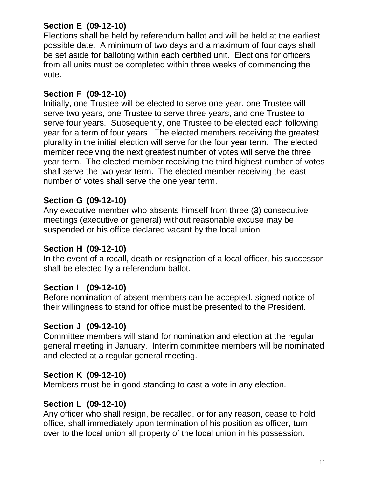# **Section E (09-12-10)**

Elections shall be held by referendum ballot and will be held at the earliest possible date. A minimum of two days and a maximum of four days shall be set aside for balloting within each certified unit. Elections for officers from all units must be completed within three weeks of commencing the vote.

#### **Section F (09-12-10)**

Initially, one Trustee will be elected to serve one year, one Trustee will serve two years, one Trustee to serve three years, and one Trustee to serve four years. Subsequently, one Trustee to be elected each following year for a term of four years. The elected members receiving the greatest plurality in the initial election will serve for the four year term. The elected member receiving the next greatest number of votes will serve the three year term. The elected member receiving the third highest number of votes shall serve the two year term. The elected member receiving the least number of votes shall serve the one year term.

#### **Section G (09-12-10)**

Any executive member who absents himself from three (3) consecutive meetings (executive or general) without reasonable excuse may be suspended or his office declared vacant by the local union.

#### **Section H (09-12-10)**

In the event of a recall, death or resignation of a local officer, his successor shall be elected by a referendum ballot.

#### **Section I (09-12-10)**

Before nomination of absent members can be accepted, signed notice of their willingness to stand for office must be presented to the President.

#### **Section J (09-12-10)**

Committee members will stand for nomination and election at the regular general meeting in January. Interim committee members will be nominated and elected at a regular general meeting.

#### **Section K (09-12-10)**

Members must be in good standing to cast a vote in any election.

#### **Section L (09-12-10)**

Any officer who shall resign, be recalled, or for any reason, cease to hold office, shall immediately upon termination of his position as officer, turn over to the local union all property of the local union in his possession.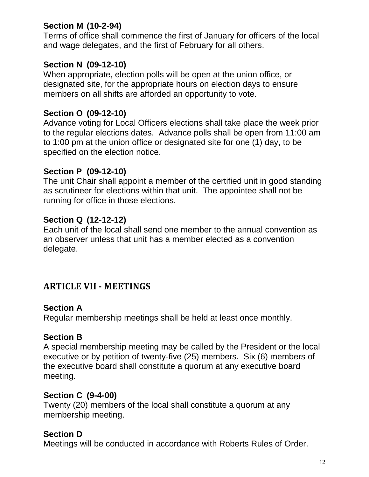# **Section M (10-2-94)**

Terms of office shall commence the first of January for officers of the local and wage delegates, and the first of February for all others.

#### **Section N (09-12-10)**

When appropriate, election polls will be open at the union office, or designated site, for the appropriate hours on election days to ensure members on all shifts are afforded an opportunity to vote.

#### **Section O (09-12-10)**

Advance voting for Local Officers elections shall take place the week prior to the regular elections dates. Advance polls shall be open from 11:00 am to 1:00 pm at the union office or designated site for one (1) day, to be specified on the election notice.

#### **Section P (09-12-10)**

The unit Chair shall appoint a member of the certified unit in good standing as scrutineer for elections within that unit. The appointee shall not be running for office in those elections.

#### **Section Q (12-12-12)**

Each unit of the local shall send one member to the annual convention as an observer unless that unit has a member elected as a convention delegate.

# <span id="page-11-0"></span>**ARTICLE VII - MEETINGS**

#### **Section A**

Regular membership meetings shall be held at least once monthly.

#### **Section B**

A special membership meeting may be called by the President or the local executive or by petition of twenty-five (25) members. Six (6) members of the executive board shall constitute a quorum at any executive board meeting.

#### **Section C (9-4-00)**

Twenty (20) members of the local shall constitute a quorum at any membership meeting.

#### **Section D**

Meetings will be conducted in accordance with Roberts Rules of Order.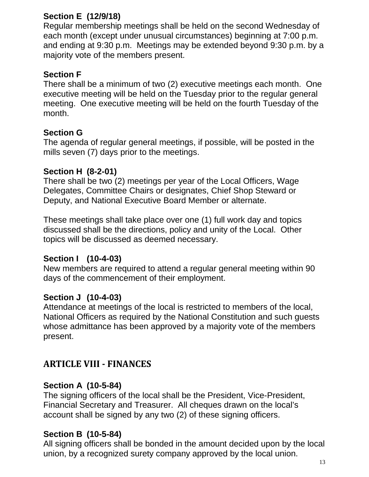# **Section E (12/9/18)**

Regular membership meetings shall be held on the second Wednesday of each month (except under unusual circumstances) beginning at 7:00 p.m. and ending at 9:30 p.m. Meetings may be extended beyond 9:30 p.m. by a majority vote of the members present.

# **Section F**

There shall be a minimum of two (2) executive meetings each month. One executive meeting will be held on the Tuesday prior to the regular general meeting. One executive meeting will be held on the fourth Tuesday of the month.

#### **Section G**

The agenda of regular general meetings, if possible, will be posted in the mills seven (7) days prior to the meetings.

#### **Section H (8-2-01)**

There shall be two (2) meetings per year of the Local Officers, Wage Delegates, Committee Chairs or designates, Chief Shop Steward or Deputy, and National Executive Board Member or alternate.

These meetings shall take place over one (1) full work day and topics discussed shall be the directions, policy and unity of the Local. Other topics will be discussed as deemed necessary.

#### **Section I (10-4-03)**

New members are required to attend a regular general meeting within 90 days of the commencement of their employment.

#### **Section J (10-4-03)**

Attendance at meetings of the local is restricted to members of the local, National Officers as required by the National Constitution and such guests whose admittance has been approved by a majority vote of the members present.

# <span id="page-12-0"></span>**ARTICLE VIII - FINANCES**

#### **Section A (10-5-84)**

The signing officers of the local shall be the President, Vice-President, Financial Secretary and Treasurer. All cheques drawn on the local's account shall be signed by any two (2) of these signing officers.

#### **Section B (10-5-84)**

All signing officers shall be bonded in the amount decided upon by the local union, by a recognized surety company approved by the local union.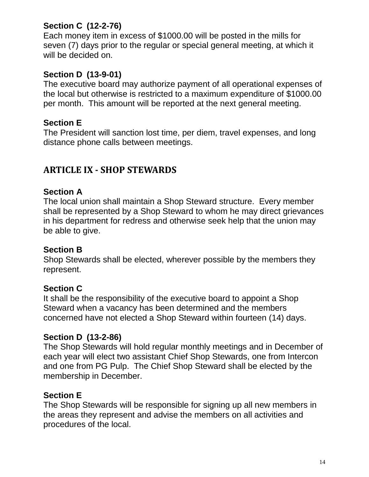# **Section C (12-2-76)**

Each money item in excess of \$1000.00 will be posted in the mills for seven (7) days prior to the regular or special general meeting, at which it will be decided on.

#### **Section D (13-9-01)**

The executive board may authorize payment of all operational expenses of the local but otherwise is restricted to a maximum expenditure of \$1000.00 per month. This amount will be reported at the next general meeting.

#### **Section E**

The President will sanction lost time, per diem, travel expenses, and long distance phone calls between meetings.

# <span id="page-13-0"></span>**ARTICLE IX - SHOP STEWARDS**

#### **Section A**

The local union shall maintain a Shop Steward structure. Every member shall be represented by a Shop Steward to whom he may direct grievances in his department for redress and otherwise seek help that the union may be able to give.

#### **Section B**

Shop Stewards shall be elected, wherever possible by the members they represent.

#### **Section C**

It shall be the responsibility of the executive board to appoint a Shop Steward when a vacancy has been determined and the members concerned have not elected a Shop Steward within fourteen (14) days.

#### **Section D (13-2-86)**

The Shop Stewards will hold regular monthly meetings and in December of each year will elect two assistant Chief Shop Stewards, one from Intercon and one from PG Pulp. The Chief Shop Steward shall be elected by the membership in December.

#### **Section E**

The Shop Stewards will be responsible for signing up all new members in the areas they represent and advise the members on all activities and procedures of the local.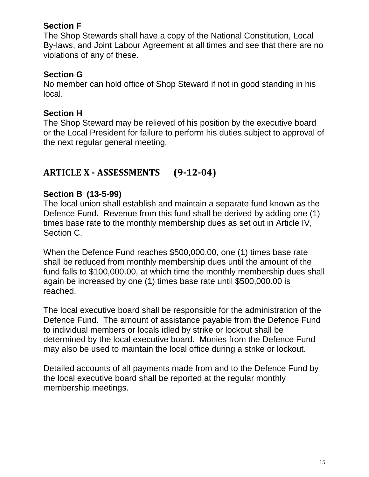#### **Section F**

The Shop Stewards shall have a copy of the National Constitution, Local By-laws, and Joint Labour Agreement at all times and see that there are no violations of any of these.

# **Section G**

No member can hold office of Shop Steward if not in good standing in his local.

#### **Section H**

The Shop Steward may be relieved of his position by the executive board or the Local President for failure to perform his duties subject to approval of the next regular general meeting.

# <span id="page-14-0"></span>**ARTICLE X - ASSESSMENTS (9-12-04)**

#### **Section B (13-5-99)**

The local union shall establish and maintain a separate fund known as the Defence Fund. Revenue from this fund shall be derived by adding one (1) times base rate to the monthly membership dues as set out in Article IV, Section C.

When the Defence Fund reaches \$500,000.00, one (1) times base rate shall be reduced from monthly membership dues until the amount of the fund falls to \$100,000.00, at which time the monthly membership dues shall again be increased by one (1) times base rate until \$500,000.00 is reached.

The local executive board shall be responsible for the administration of the Defence Fund. The amount of assistance payable from the Defence Fund to individual members or locals idled by strike or lockout shall be determined by the local executive board. Monies from the Defence Fund may also be used to maintain the local office during a strike or lockout.

Detailed accounts of all payments made from and to the Defence Fund by the local executive board shall be reported at the regular monthly membership meetings.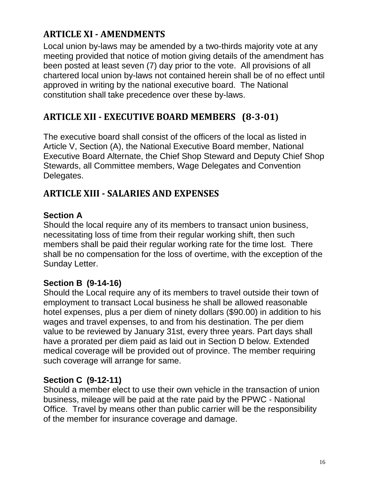# <span id="page-15-0"></span>**ARTICLE XI - AMENDMENTS**

Local union by-laws may be amended by a two-thirds majority vote at any meeting provided that notice of motion giving details of the amendment has been posted at least seven (7) day prior to the vote. All provisions of all chartered local union by-laws not contained herein shall be of no effect until approved in writing by the national executive board. The National constitution shall take precedence over these by-laws.

# <span id="page-15-1"></span>**ARTICLE XII - EXECUTIVE BOARD MEMBERS (8-3-01)**

The executive board shall consist of the officers of the local as listed in Article V, Section (A), the National Executive Board member, National Executive Board Alternate, the Chief Shop Steward and Deputy Chief Shop Stewards, all Committee members, Wage Delegates and Convention Delegates.

# <span id="page-15-2"></span>**ARTICLE XIII - SALARIES AND EXPENSES**

#### **Section A**

Should the local require any of its members to transact union business, necessitating loss of time from their regular working shift, then such members shall be paid their regular working rate for the time lost. There shall be no compensation for the loss of overtime, with the exception of the Sunday Letter.

# **Section B (9-14-16)**

Should the Local require any of its members to travel outside their town of employment to transact Local business he shall be allowed reasonable hotel expenses, plus a per diem of ninety dollars (\$90.00) in addition to his wages and travel expenses, to and from his destination. The per diem value to be reviewed by January 31st, every three years. Part days shall have a prorated per diem paid as laid out in Section D below. Extended medical coverage will be provided out of province. The member requiring such coverage will arrange for same.

# **Section C (9-12-11)**

Should a member elect to use their own vehicle in the transaction of union business, mileage will be paid at the rate paid by the PPWC - National Office. Travel by means other than public carrier will be the responsibility of the member for insurance coverage and damage.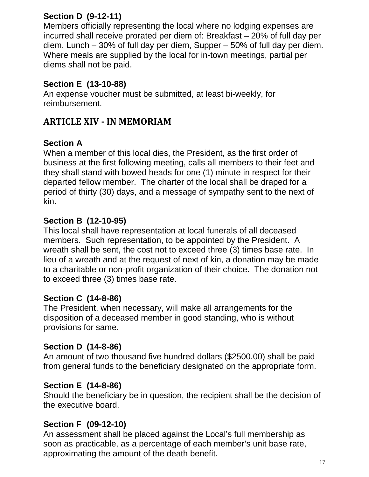# **Section D (9-12-11)**

Members officially representing the local where no lodging expenses are incurred shall receive prorated per diem of: Breakfast – 20% of full day per diem, Lunch – 30% of full day per diem, Supper – 50% of full day per diem. Where meals are supplied by the local for in-town meetings, partial per diems shall not be paid.

# **Section E (13-10-88)**

An expense voucher must be submitted, at least bi-weekly, for reimbursement.

# <span id="page-16-0"></span>**ARTICLE XIV - IN MEMORIAM**

# **Section A**

When a member of this local dies, the President, as the first order of business at the first following meeting, calls all members to their feet and they shall stand with bowed heads for one (1) minute in respect for their departed fellow member. The charter of the local shall be draped for a period of thirty (30) days, and a message of sympathy sent to the next of kin.

# **Section B (12-10-95)**

This local shall have representation at local funerals of all deceased members. Such representation, to be appointed by the President. A wreath shall be sent, the cost not to exceed three (3) times base rate. In lieu of a wreath and at the request of next of kin, a donation may be made to a charitable or non-profit organization of their choice. The donation not to exceed three (3) times base rate.

# **Section C (14-8-86)**

The President, when necessary, will make all arrangements for the disposition of a deceased member in good standing, who is without provisions for same.

# **Section D (14-8-86)**

An amount of two thousand five hundred dollars (\$2500.00) shall be paid from general funds to the beneficiary designated on the appropriate form.

# **Section E (14-8-86)**

Should the beneficiary be in question, the recipient shall be the decision of the executive board.

# **Section F (09-12-10)**

An assessment shall be placed against the Local's full membership as soon as practicable, as a percentage of each member's unit base rate, approximating the amount of the death benefit.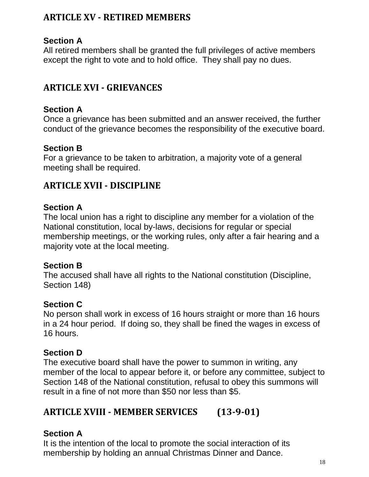# <span id="page-17-0"></span>**ARTICLE XV - RETIRED MEMBERS**

# **Section A**

All retired members shall be granted the full privileges of active members except the right to vote and to hold office. They shall pay no dues.

# <span id="page-17-1"></span>**ARTICLE XVI - GRIEVANCES**

#### **Section A**

Once a grievance has been submitted and an answer received, the further conduct of the grievance becomes the responsibility of the executive board.

#### **Section B**

For a grievance to be taken to arbitration, a majority vote of a general meeting shall be required.

# <span id="page-17-2"></span>**ARTICLE XVII - DISCIPLINE**

#### **Section A**

The local union has a right to discipline any member for a violation of the National constitution, local by-laws, decisions for regular or special membership meetings, or the working rules, only after a fair hearing and a majority vote at the local meeting.

#### **Section B**

The accused shall have all rights to the National constitution (Discipline, Section 148)

#### **Section C**

No person shall work in excess of 16 hours straight or more than 16 hours in a 24 hour period. If doing so, they shall be fined the wages in excess of 16 hours.

#### **Section D**

The executive board shall have the power to summon in writing, any member of the local to appear before it, or before any committee, subject to Section 148 of the National constitution, refusal to obey this summons will result in a fine of not more than \$50 nor less than \$5.

# <span id="page-17-3"></span>**ARTICLE XVIII - MEMBER SERVICES (13-9-01)**

# **Section A**

It is the intention of the local to promote the social interaction of its membership by holding an annual Christmas Dinner and Dance.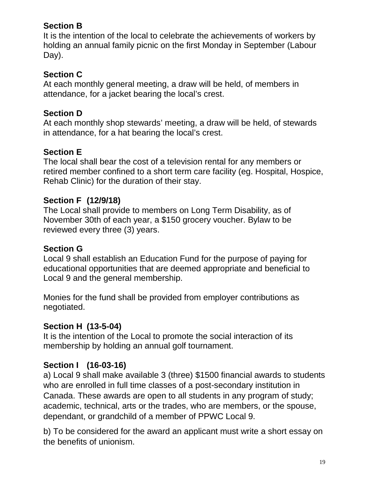# **Section B**

It is the intention of the local to celebrate the achievements of workers by holding an annual family picnic on the first Monday in September (Labour Day).

# **Section C**

At each monthly general meeting, a draw will be held, of members in attendance, for a jacket bearing the local's crest.

# **Section D**

At each monthly shop stewards' meeting, a draw will be held, of stewards in attendance, for a hat bearing the local's crest.

# **Section E**

The local shall bear the cost of a television rental for any members or retired member confined to a short term care facility (eg. Hospital, Hospice, Rehab Clinic) for the duration of their stay.

#### **Section F (12/9/18)**

The Local shall provide to members on Long Term Disability, as of November 30th of each year, a \$150 grocery voucher. Bylaw to be reviewed every three (3) years.

#### **Section G**

Local 9 shall establish an Education Fund for the purpose of paying for educational opportunities that are deemed appropriate and beneficial to Local 9 and the general membership.

Monies for the fund shall be provided from employer contributions as negotiated.

# **Section H (13-5-04)**

It is the intention of the Local to promote the social interaction of its membership by holding an annual golf tournament.

# **Section I (16-03-16)**

a) Local 9 shall make available 3 (three) \$1500 financial awards to students who are enrolled in full time classes of a post-secondary institution in Canada. These awards are open to all students in any program of study; academic, technical, arts or the trades, who are members, or the spouse, dependant, or grandchild of a member of PPWC Local 9.

b) To be considered for the award an applicant must write a short essay on the benefits of unionism.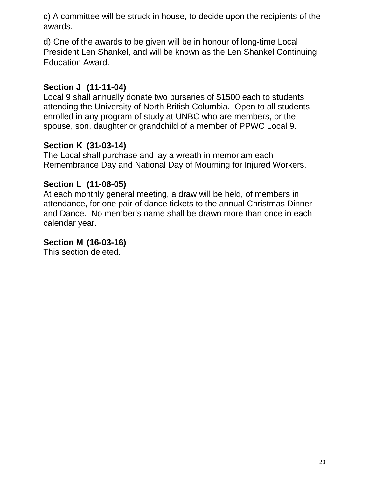c) A committee will be struck in house, to decide upon the recipients of the awards.

d) One of the awards to be given will be in honour of long-time Local President Len Shankel, and will be known as the Len Shankel Continuing Education Award.

# **Section J (11-11-04)**

Local 9 shall annually donate two bursaries of \$1500 each to students attending the University of North British Columbia. Open to all students enrolled in any program of study at UNBC who are members, or the spouse, son, daughter or grandchild of a member of PPWC Local 9.

# **Section K (31-03-14)**

The Local shall purchase and lay a wreath in memoriam each Remembrance Day and National Day of Mourning for Injured Workers.

# **Section L (11-08-05)**

At each monthly general meeting, a draw will be held, of members in attendance, for one pair of dance tickets to the annual Christmas Dinner and Dance. No member's name shall be drawn more than once in each calendar year.

# **Section M (16-03-16)**

This section deleted.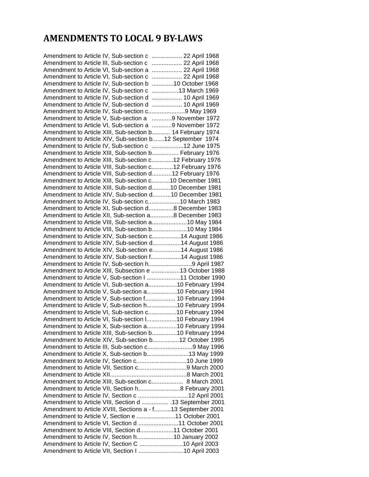# <span id="page-20-0"></span>**AMENDMENTS TO LOCAL 9 BY-LAWS**

| Amendment to Article IV, Sub-section c  22 April 1968       |  |
|-------------------------------------------------------------|--|
| Amendment to Article III, Sub-section c  22 April 1968      |  |
| Amendment to Article VI, Sub-section a  22 April 1968       |  |
| Amendment to Article VI, Sub-section c  22 April 1968       |  |
| Amendment to Article IV, Sub-section b 10 October 1968      |  |
| Amendment to Article IV, Sub-section c 13 March 1969        |  |
| Amendment to Article IV, Sub-section d  10 April 1969       |  |
| Amendment to Article IV, Sub-section d  10 April 1969       |  |
| Amendment to Article IV, Sub-section c9 May 1969            |  |
| Amendment to Article V, Sub-section a 9 November 1972       |  |
| Amendment to Article VI, Sub-section a 9 November 1972      |  |
| Amendment to Article XIII, Sub-section b 14 February 1974   |  |
| Amendment to Article XIV, Sub-section b12 September 1974    |  |
| Amendment to Article IV, Sub-section c 12 June 1975         |  |
| Amendment to Article XIII, Sub-section b February 1976      |  |
| Amendment to Article XIII, Sub-section c12 February 1976    |  |
| Amendment to Article VIII, Sub-section c12 February 1976    |  |
| Amendment to Article VIII, Sub-section d12 February 1976    |  |
| Amendment to Article XIII, Sub-section c10 December 1981    |  |
| Amendment to Article XIII, Sub-section d10 December 1981    |  |
| Amendment to Article XIV, Sub-section d10 December 1981     |  |
| Amendment to Article IV, Sub-section c10 March 1983         |  |
| Amendment to Article XI, Sub-section d8 December 1983       |  |
| Amendment to Article XII, Sub-section a8 December 1983      |  |
| Amendment to Article VIII, Sub-section a10 May 1984         |  |
| Amendment to Article VIII, Sub-section b10 May 1984         |  |
| Amendment to Article XIV, Sub-section c14 August 1986       |  |
| Amendment to Article XIV, Sub-section d14 August 1986       |  |
| Amendment to Article XIV, Sub-section e14 August 1986       |  |
| Amendment to Article XIV, Sub-section f14 August 1986       |  |
| Amendment to Article IV, Sub-section h9 April 1987          |  |
| Amendment to Article XIII, Subsection e 13 October 1988     |  |
| Amendment to Article V, Sub-section I 11 October 1990       |  |
| Amendment to Article VI, Sub-section a10 February 1994      |  |
| Amendment to Article V, Sub-section a10 February 1994       |  |
| Amendment to Article V, Sub-section f 10 February 1994      |  |
| Amendment to Article V, Sub-section h10 February 1994       |  |
| Amendment to Article VI, Sub-section c10 February 1994      |  |
| Amendment to Article VI, Sub-section I10 February 1994      |  |
| Amendment to Article X, Sub-section a10 February 1994       |  |
| Amendment to Article XIII, Sub-section b10 February 1994    |  |
| Amendment to Article XIV, Sub-section b12 October 1995      |  |
| Amendment to Article III, Sub-section c9 May 1996           |  |
| Amendment to Article X, Sub-section b13 May 1999            |  |
| Amendment to Article IV, Section c10 June 1999              |  |
| Amendment to Article VII, Section c9 March 2000             |  |
|                                                             |  |
| Amendment to Article XIII, Sub-section c 8 March 2001       |  |
| Amendment to Article VII, Section h8 February 2001          |  |
| Amendment to Article IV, Section c 12 April 2001            |  |
| Amendment to Article VIII, Section d  . 13 September 2001   |  |
| Amendment to Article XVIII, Sections a - f13 September 2001 |  |
| Amendment to Article V, Section e 11 October 2001           |  |
| Amendment to Article VI, Section d 11 October 2001          |  |
| Amendment to Article VIII, Section d11 October 2001         |  |
| Amendment to Article IV, Section h10 January 2002           |  |
| Amendment to Article IV, Section C 10 April 2003            |  |
| Amendment to Article VII, Section I 10 April 2003           |  |